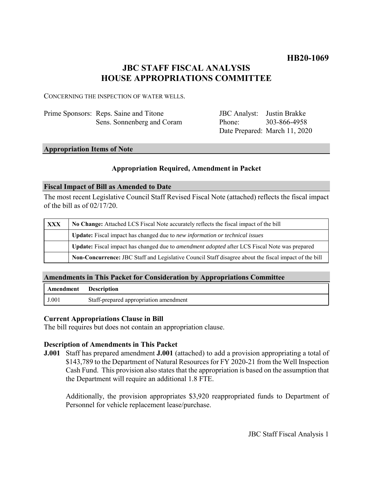## **HB20-1069**

# **JBC STAFF FISCAL ANALYSIS HOUSE APPROPRIATIONS COMMITTEE**

CONCERNING THE INSPECTION OF WATER WELLS.

| Prime Sponsors: Reps. Saine and Titone |
|----------------------------------------|
| Sens. Sonnenberg and Coram             |

JBC Analyst: Justin Brakke Phone: Date Prepared: March 11, 2020 303-866-4958

#### **Appropriation Items of Note**

### **Appropriation Required, Amendment in Packet**

#### **Fiscal Impact of Bill as Amended to Date**

The most recent Legislative Council Staff Revised Fiscal Note (attached) reflects the fiscal impact of the bill as of 02/17/20.

| XXX | No Change: Attached LCS Fiscal Note accurately reflects the fiscal impact of the bill                       |  |
|-----|-------------------------------------------------------------------------------------------------------------|--|
|     | <b>Update:</b> Fiscal impact has changed due to new information or technical issues                         |  |
|     | <b>Update:</b> Fiscal impact has changed due to <i>amendment adopted</i> after LCS Fiscal Note was prepared |  |
|     | Non-Concurrence: JBC Staff and Legislative Council Staff disagree about the fiscal impact of the bill       |  |

### **Amendments in This Packet for Consideration by Appropriations Committee**

| Amendment | <b>Description</b>                     |
|-----------|----------------------------------------|
| J.001     | Staff-prepared appropriation amendment |

#### **Current Appropriations Clause in Bill**

The bill requires but does not contain an appropriation clause.

### **Description of Amendments in This Packet**

**J.001** Staff has prepared amendment **J.001** (attached) to add a provision appropriating a total of \$143,789 to the Department of Natural Resources for FY 2020-21 from the Well Inspection Cash Fund. This provision also states that the appropriation is based on the assumption that the Department will require an additional 1.8 FTE.

Additionally, the provision appropriates \$3,920 reappropriated funds to Department of Personnel for vehicle replacement lease/purchase.